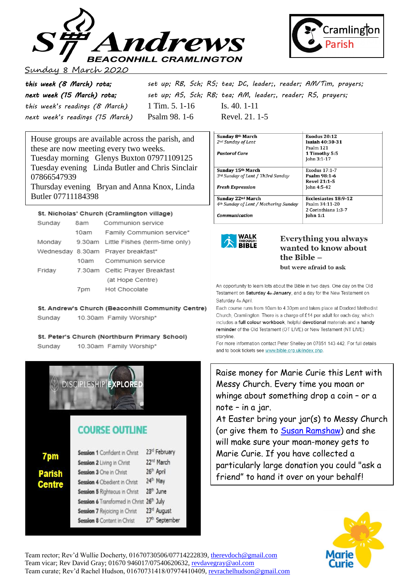



### 8 March 2020

| this week (8 March) rota;       |                  | set up; RB, Sch; RS; tea; DC, leader;, reader; AM/Tim, prayers; |
|---------------------------------|------------------|-----------------------------------------------------------------|
| next week (15 March) rota;      |                  | set up; AS, Sch; RB; tea; AM, leader;, reader; RS, prayers;     |
| this week's readings (8 March)  | 1 Tim. 5. $1-16$ | Is. 40. $1-11$                                                  |
| next week's readings (15 March) | Psalm 98. 1-6    | Revel. 21. 1-5                                                  |

House groups are available across the parish, and these are now meeting every two weeks. Tuesday morning Glenys Buxton 07971109125 Tuesday evening Linda Butler and Chris Sinclair 07866547939 Thursday evening Bryan and Anna Knox, Linda

Butler 07711184398

### St. Nicholas' Church (Cramlington village)

| Sunday |      | 8am Communion service                 |  |
|--------|------|---------------------------------------|--|
|        | 10am | Family Communion service*             |  |
| Monday |      | 9.30am Little Fishes (term-time only) |  |
|        |      | Wednesday 8.30am Prayer breakfast*    |  |
|        |      | 10am Communion service                |  |
| Friday |      | 7.30am Celtic Prayer Breakfast        |  |
|        |      | (at Hope Centre)                      |  |
|        |      | 7pm Hot Chocolate                     |  |

St. Andrew's Church (Beaconhill Community Centre)

10.30am Family Worship\* Sunday

#### St. Peter's Church (Northburn Primary School)

Sundav 10.30am Family Worship\*



# **COURSE OUTLINE**

|        | Session 1 Confident in Christ       | 23 <sup>rd</sup> February  |
|--------|-------------------------------------|----------------------------|
| 7pm    | Session 2 Living in Christ          | 22 <sup>nd</sup> March     |
| Parish | Session 3 One in Christ             | 26 <sup>th</sup> April     |
| Centre | <b>Session 4 Obedient in Christ</b> | 24th May                   |
|        | Session 5 Righteous in Christ       | 28 <sup>th</sup> June      |
|        | Session 6 Transformed in Christ     | 26 <sup>th</sup> July      |
|        | Session 7 Rejoicing in Christ       | 23rd August                |
|        | Session 8 Content in Christ         | 27 <sup>th</sup> September |
|        |                                     |                            |

| Sunday 8th March                                  | <b>Exodus 20:12</b>         |
|---------------------------------------------------|-----------------------------|
| 2 <sup>nd</sup> Sunday of Lent                    | <b>Isaiah 40:30-31</b>      |
|                                                   | Psalm 121                   |
| Pastoral Care                                     | 1 Timothy 5:5               |
|                                                   | John 3:1-17                 |
|                                                   |                             |
| Sunday 15th March                                 | Exodus 17:1-7               |
| 3rd Sunday of Lent / Th3rd Sunday                 | Psalm 98:1-6                |
|                                                   | <b>Revel 21:1-5</b>         |
| <b>Fresh Expression</b>                           | John 4:5-42                 |
|                                                   |                             |
| Sunday 22 <sup>nd</sup> March                     | <b>Ecclesiastes 18:9-12</b> |
| 4 <sup>th</sup> Sunday of Lent / Mothering Sunday | Psalm 34:11-20              |
|                                                   | 2 Corinthians 1:3-7         |
| <b>Communication</b>                              | <b>John 1:1</b>             |



## **Everything you always** wanted to know about the  $Rihle -$

but were afraid to ask

An opportunity to learn lots about the Bible in two days. One day on the Old Testament on Saturday 4th January, and a day for the New Testament on Saturday 4th April

Each course runs from 10am to 4.30pm and takes place at Doxford Methodist Church, Cramlington. There is a charge of £14 per adult for each day, which includes a full colour workbook, helpful devotional materials and a handy reminder of the Old Testament (OT LIVE) or New Testament (NT LIVE) storyline

For more information contact Peter Shelley on 07851 143 442. For full details and to book tickets see www.bible.org.uk/index.php.

Raise money for Marie Curie this Lent with Messy Church. Every time you moan or whinge about something drop a coin – or a note – in a jar.

At Easter bring your jar(s) to Messy Church (or give them to [Susan Ramshaw\)](mailto:susanjimramshaw@hotmail.co.uk) and she will make sure your moan-money gets to Marie Curie. If you have collected a particularly large donation you could "ask a friend" to hand it over on your behalf!



Team rector; Rev'd Wullie Docherty, 01670730506/07714222839[, therevdoch@gmail.com](mailto:therevdoch@gmail.com) Team vicar; Rev David Gray; 01670 946017/07540620632, [revdavegray@aol.com](mailto:revdavegray@aol.com) Team curate; Rev'd Rachel Hudson, 01670731418/07974410409[, revrachelhudson@gmail.com](mailto:revrachelhudson@gmail.com)